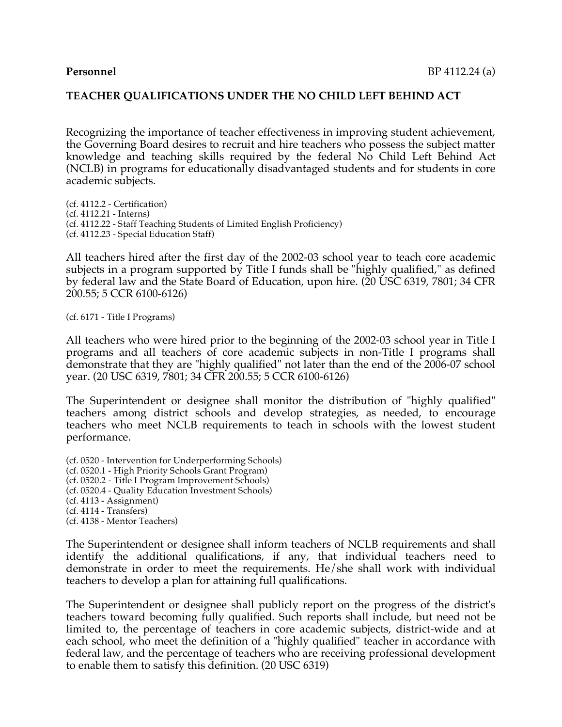Recognizing the importance of teacher effectiveness in improving student achievement, the Governing Board desires to recruit and hire teachers who possess the subject matter knowledge and teaching skills required by the federal No Child Left Behind Act (NCLB) in programs for educationally disadvantaged students and for students in core academic subjects.

(cf. 4112.2 - Certification) (cf. 4112.21 - Interns) (cf. 4112.22 - Staff Teaching Students of Limited English Proficiency) (cf. 4112.23 - Special Education Staff)

All teachers hired after the first day of the 2002-03 school year to teach core academic subjects in a program supported by Title I funds shall be "highly qualified," as defined by federal law and the State Board of Education, upon hire. (20 USC 6319, 7801; 34 CFR 200.55; 5 CCR 6100-6126)

(cf. 6171 - Title I Programs)

All teachers who were hired prior to the beginning of the 2002-03 school year in Title I programs and all teachers of core academic subjects in non-Title I programs shall demonstrate that they are "highly qualified" not later than the end of the 2006-07 school year. (20 USC 6319, 7801; 34 CFR 200.55; 5 CCR 6100-6126)

The Superintendent or designee shall monitor the distribution of "highly qualified" teachers among district schools and develop strategies, as needed, to encourage teachers who meet NCLB requirements to teach in schools with the lowest student performance.

(cf. 0520 - Intervention for Underperforming Schools) (cf. 0520.1 - High Priority Schools Grant Program) (cf. 0520.2 - Title I Program Improvement Schools) (cf. 0520.4 - Quality Education Investment Schools) (cf. 4113 - Assignment) (cf. 4114 - Transfers) (cf. 4138 - Mentor Teachers)

The Superintendent or designee shall inform teachers of NCLB requirements and shall identify the additional qualifications, if any, that individual teachers need to demonstrate in order to meet the requirements. He/she shall work with individual teachers to develop a plan for attaining full qualifications.

The Superintendent or designee shall publicly report on the progress of the district's teachers toward becoming fully qualified. Such reports shall include, but need not be limited to, the percentage of teachers in core academic subjects, district-wide and at each school, who meet the definition of a "highly qualified" teacher in accordance with federal law, and the percentage of teachers who are receiving professional development to enable them to satisfy this definition. (20 USC 6319)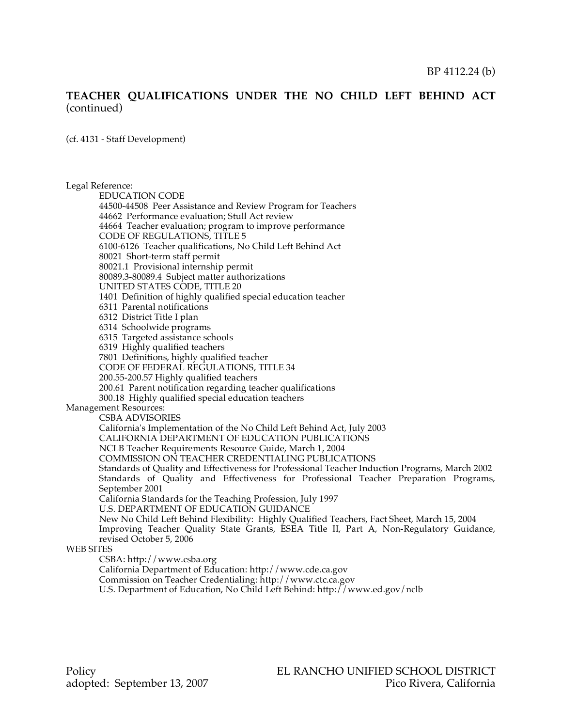(cf. 4131 - Staff Development)

Legal Reference:

EDUCATION CODE

44500-44508 Peer Assistance and Review Program for Teachers 44662 Performance evaluation; Stull Act review 44664 Teacher evaluation; program to improve performance CODE OF REGULATIONS, TITLE 5 6100-6126 Teacher qualifications, No Child Left Behind Act 80021 Short-term staff permit 80021.1 Provisional internship permit 80089.3-80089.4 Subject matter authorizations UNITED STATES CODE, TITLE 20 1401 Definition of highly qualified special education teacher 6311 Parental notifications 6312 District Title I plan 6314 Schoolwide programs 6315 Targeted assistance schools 6319 Highly qualified teachers 7801 Definitions, highly qualified teacher CODE OF FEDERAL REGULATIONS, TITLE 34 200.55-200.57 Highly qualified teachers 200.61 Parent notification regarding teacher qualifications 300.18 Highly qualified special education teachers Management Resources: CSBA ADVISORIES California's Implementation of the No Child Left Behind Act, July 2003 CALIFORNIA DEPARTMENT OF EDUCATION PUBLICATIONS NCLB Teacher Requirements Resource Guide, March 1, 2004 COMMISSION ON TEACHER CREDENTIALING PUBLICATIONS

> Standards of Quality and Effectiveness for Professional Teacher Induction Programs, March 2002 Standards of Quality and Effectiveness for Professional Teacher Preparation Programs, September 2001

California Standards for the Teaching Profession, July 1997

U.S. DEPARTMENT OF EDUCATION GUIDANCE

New No Child Left Behind Flexibility: Highly Qualified Teachers, Fact Sheet, March 15, 2004 Improving Teacher Quality State Grants, ESEA Title II, Part A, Non-Regulatory Guidance, revised October 5, 2006

#### WEB SITES

CSBA: http://www.csba.org

California Department of Education: http://www.cde.ca.gov

Commission on Teacher Credentialing: http://www.ctc.ca.gov

U.S. Department of Education, No Child Left Behind: http://www.ed.gov/nclb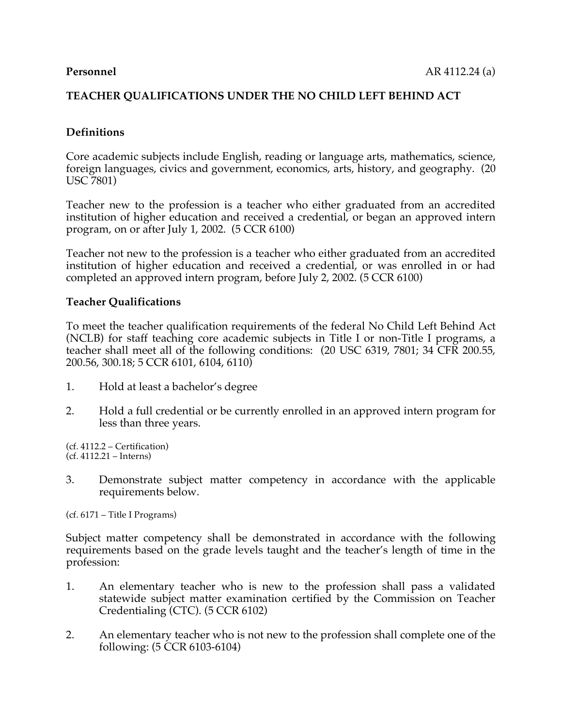## **Definitions**

Core academic subjects include English, reading or language arts, mathematics, science, foreign languages, civics and government, economics, arts, history, and geography. (20 USC 7801)

Teacher new to the profession is a teacher who either graduated from an accredited institution of higher education and received a credential, or began an approved intern program, on or after July 1, 2002. (5 CCR 6100)

Teacher not new to the profession is a teacher who either graduated from an accredited institution of higher education and received a credential, or was enrolled in or had completed an approved intern program, before July 2, 2002. (5 CCR 6100)

#### **Teacher Qualifications**

To meet the teacher qualification requirements of the federal No Child Left Behind Act (NCLB) for staff teaching core academic subjects in Title I or non-Title I programs, a teacher shall meet all of the following conditions: (20 USC 6319, 7801; 34 CFR 200.55, 200.56, 300.18; 5 CCR 6101, 6104, 6110)

- 1. Hold at least a bachelor's degree
- 2. Hold a full credential or be currently enrolled in an approved intern program for less than three years.

(cf. 4112.2 – Certification) (cf. 4112.21 – Interns)

3. Demonstrate subject matter competency in accordance with the applicable requirements below.

(cf. 6171 – Title I Programs)

Subject matter competency shall be demonstrated in accordance with the following requirements based on the grade levels taught and the teacher's length of time in the profession:

- 1. An elementary teacher who is new to the profession shall pass a validated statewide subject matter examination certified by the Commission on Teacher Credentialing (CTC). (5 CCR 6102)
- 2. An elementary teacher who is not new to the profession shall complete one of the following: (5 CCR 6103-6104)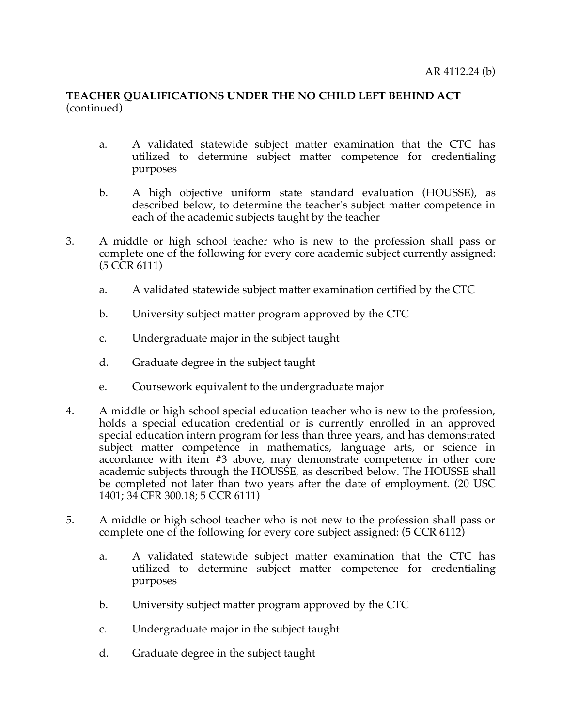- a. A validated statewide subject matter examination that the CTC has utilized to determine subject matter competence for credentialing purposes
- b. A high objective uniform state standard evaluation (HOUSSE), as described below, to determine the teacher's subject matter competence in each of the academic subjects taught by the teacher
- 3. A middle or high school teacher who is new to the profession shall pass or complete one of the following for every core academic subject currently assigned: (5 CCR 6111)
	- a. A validated statewide subject matter examination certified by the CTC
	- b. University subject matter program approved by the CTC
	- c. Undergraduate major in the subject taught
	- d. Graduate degree in the subject taught
	- e. Coursework equivalent to the undergraduate major
- 4. A middle or high school special education teacher who is new to the profession, holds a special education credential or is currently enrolled in an approved special education intern program for less than three years, and has demonstrated subject matter competence in mathematics, language arts, or science in accordance with item #3 above, may demonstrate competence in other core academic subjects through the HOUSSE, as described below. The HOUSSE shall be completed not later than two years after the date of employment. (20 USC 1401; 34 CFR 300.18; 5 CCR 6111)
- 5. A middle or high school teacher who is not new to the profession shall pass or complete one of the following for every core subject assigned: (5 CCR 6112)
	- a. A validated statewide subject matter examination that the CTC has utilized to determine subject matter competence for credentialing purposes
	- b. University subject matter program approved by the CTC
	- c. Undergraduate major in the subject taught
	- d. Graduate degree in the subject taught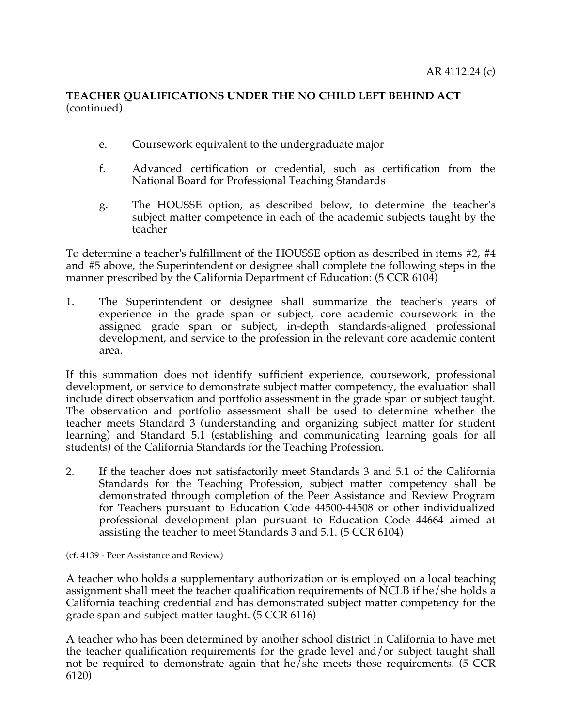- e. Coursework equivalent to the undergraduate major
- f. Advanced certification or credential, such as certification from the National Board for Professional Teaching Standards
- g. The HOUSSE option, as described below, to determine the teacher's subject matter competence in each of the academic subjects taught by the teacher

To determine a teacher's fulfillment of the HOUSSE option as described in items #2, #4 and #5 above, the Superintendent or designee shall complete the following steps in the manner prescribed by the California Department of Education: (5 CCR 6104)

1. The Superintendent or designee shall summarize the teacher's years of experience in the grade span or subject, core academic coursework in the assigned grade span or subject, in-depth standards-aligned professional development, and service to the profession in the relevant core academic content area.

If this summation does not identify sufficient experience, coursework, professional development, or service to demonstrate subject matter competency, the evaluation shall include direct observation and portfolio assessment in the grade span or subject taught. The observation and portfolio assessment shall be used to determine whether the teacher meets Standard 3 (understanding and organizing subject matter for student learning) and Standard 5.1 (establishing and communicating learning goals for all students) of the California Standards for the Teaching Profession.

2. If the teacher does not satisfactorily meet Standards 3 and 5.1 of the California Standards for the Teaching Profession, subject matter competency shall be demonstrated through completion of the Peer Assistance and Review Program for Teachers pursuant to Education Code 44500-44508 or other individualized professional development plan pursuant to Education Code 44664 aimed at assisting the teacher to meet Standards 3 and 5.1. (5 CCR 6104)

(cf. 4139 - Peer Assistance and Review)

A teacher who holds a supplementary authorization or is employed on a local teaching assignment shall meet the teacher qualification requirements of NCLB if he/she holds a California teaching credential and has demonstrated subject matter competency for the grade span and subject matter taught. (5 CCR 6116)

A teacher who has been determined by another school district in California to have met the teacher qualification requirements for the grade level and/or subject taught shall not be required to demonstrate again that he/she meets those requirements. (5 CCR 6120)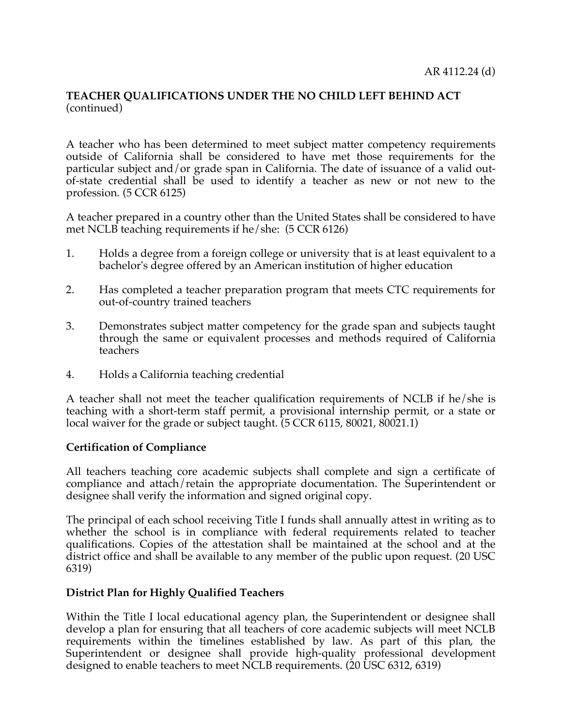A teacher who has been determined to meet subject matter competency requirements outside of California shall be considered to have met those requirements for the particular subject and/or grade span in California. The date of issuance of a valid outof-state credential shall be used to identify a teacher as new or not new to the profession. (5 CCR 6125)

A teacher prepared in a country other than the United States shall be considered to have met NCLB teaching requirements if he/she: (5 CCR 6126)

- 1. Holds a degree from a foreign college or university that is at least equivalent to a bachelor's degree offered by an American institution of higher education
- 2. Has completed a teacher preparation program that meets CTC requirements for out-of-country trained teachers
- 3. Demonstrates subject matter competency for the grade span and subjects taught through the same or equivalent processes and methods required of California teachers
- 4. Holds a California teaching credential

A teacher shall not meet the teacher qualification requirements of NCLB if he/she is teaching with a short-term staff permit, a provisional internship permit, or a state or local waiver for the grade or subject taught. (5 CCR 6115, 80021, 80021.1)

#### **Certification of Compliance**

All teachers teaching core academic subjects shall complete and sign a certificate of compliance and attach/retain the appropriate documentation. The Superintendent or designee shall verify the information and signed original copy.

The principal of each school receiving Title I funds shall annually attest in writing as to whether the school is in compliance with federal requirements related to teacher qualifications. Copies of the attestation shall be maintained at the school and at the district office and shall be available to any member of the public upon request. (20 USC 6319)

#### **District Plan for Highly Qualified Teachers**

Within the Title I local educational agency plan, the Superintendent or designee shall develop a plan for ensuring that all teachers of core academic subjects will meet NCLB requirements within the timelines established by law. As part of this plan, the Superintendent or designee shall provide high-quality professional development designed to enable teachers to meet NCLB requirements. (20 USC 6312, 6319)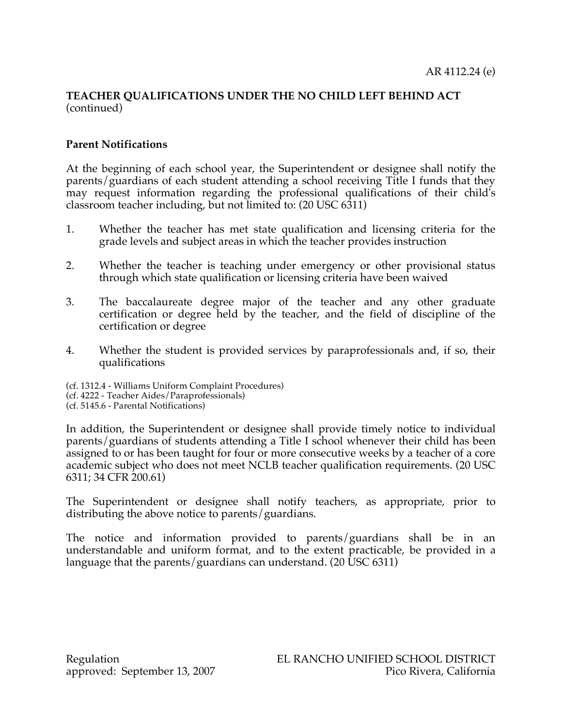## **Parent Notifications**

At the beginning of each school year, the Superintendent or designee shall notify the parents/guardians of each student attending a school receiving Title I funds that they may request information regarding the professional qualifications of their child's classroom teacher including, but not limited to: (20 USC 6311)

- 1. Whether the teacher has met state qualification and licensing criteria for the grade levels and subject areas in which the teacher provides instruction
- 2. Whether the teacher is teaching under emergency or other provisional status through which state qualification or licensing criteria have been waived
- 3. The baccalaureate degree major of the teacher and any other graduate certification or degree held by the teacher, and the field of discipline of the certification or degree
- 4. Whether the student is provided services by paraprofessionals and, if so, their qualifications
- (cf. 1312.4 Williams Uniform Complaint Procedures)
- (cf. 4222 Teacher Aides/Paraprofessionals)
- (cf. 5145.6 Parental Notifications)

In addition, the Superintendent or designee shall provide timely notice to individual parents/guardians of students attending a Title I school whenever their child has been assigned to or has been taught for four or more consecutive weeks by a teacher of a core academic subject who does not meet NCLB teacher qualification requirements. (20 USC 6311; 34 CFR 200.61)

The Superintendent or designee shall notify teachers, as appropriate, prior to distributing the above notice to parents/guardians.

The notice and information provided to parents/guardians shall be in an understandable and uniform format, and to the extent practicable, be provided in a language that the parents/guardians can understand. (20 USC 6311)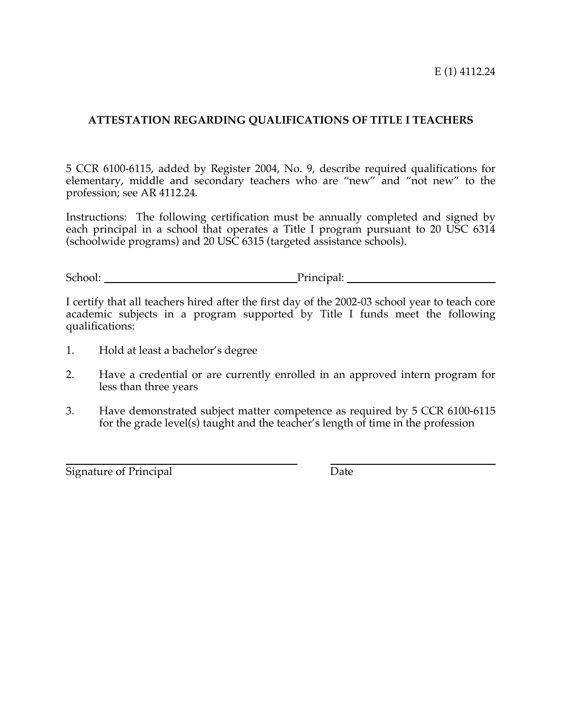E (1) 4112.24

#### **ATTESTATION REGARDING QUALIFICATIONS OF TITLE I TEACHERS**

5 CCR 6100-6115, added by Register 2004, No. 9, describe required qualifications for elementary, middle and secondary teachers who are "new" and "not new" to the profession; see AR 4112.24.

Instructions: The following certification must be annually completed and signed by each principal in a school that operates a Title I program pursuant to 20 USC 6314 (schoolwide programs) and 20 USC 6315 (targeted assistance schools).

School: Principal: Principal:

I certify that all teachers hired after the first day of the 2002-03 school year to teach core academic subjects in a program supported by Title I funds meet the following qualifications:

- 1. Hold at least a bachelor's degree
- 2. Have a credential or are currently enrolled in an approved intern program for less than three years
- 3. Have demonstrated subject matter competence as required by 5 CCR 6100-6115 for the grade level(s) taught and the teacher's length of time in the profession

Signature of Principal Date